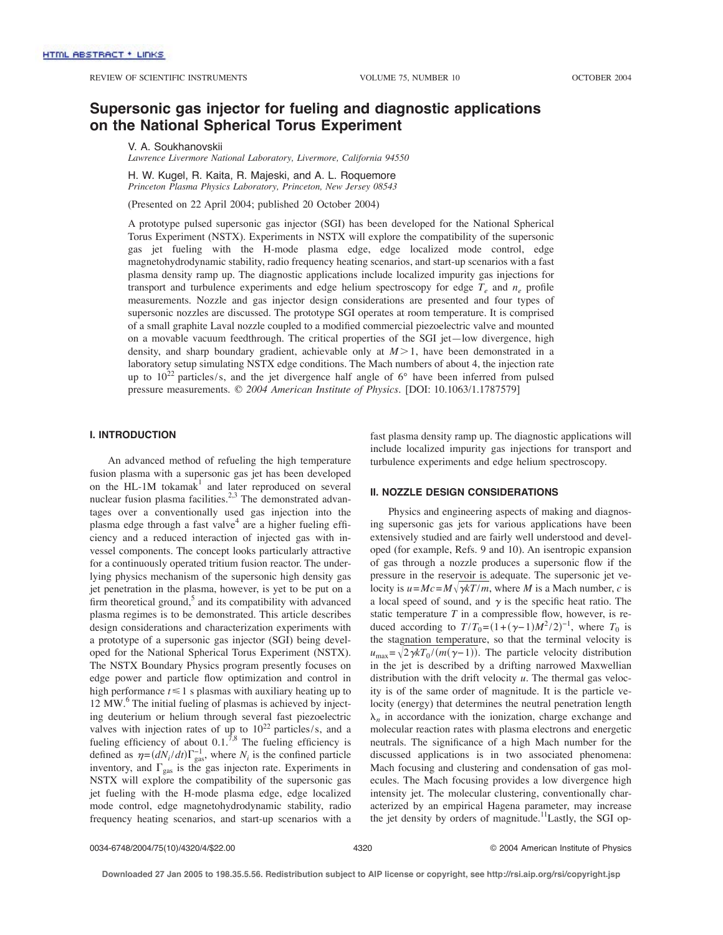# **Supersonic gas injector for fueling and diagnostic applications on the National Spherical Torus Experiment**

V. A. Soukhanovskii

*Lawrence Livermore National Laboratory, Livermore, California 94550*

H. W. Kugel, R. Kaita, R. Majeski, and A. L. Roquemore *Princeton Plasma Physics Laboratory, Princeton, New Jersey 08543*

(Presented on 22 April 2004; published 20 October 2004)

A prototype pulsed supersonic gas injector (SGI) has been developed for the National Spherical Torus Experiment (NSTX). Experiments in NSTX will explore the compatibility of the supersonic gas jet fueling with the H-mode plasma edge, edge localized mode control, edge magnetohydrodynamic stability, radio frequency heating scenarios, and start-up scenarios with a fast plasma density ramp up. The diagnostic applications include localized impurity gas injections for transport and turbulence experiments and edge helium spectroscopy for edge  $T_e$  and  $n_e$  profile measurements. Nozzle and gas injector design considerations are presented and four types of supersonic nozzles are discussed. The prototype SGI operates at room temperature. It is comprised of a small graphite Laval nozzle coupled to a modified commercial piezoelectric valve and mounted on a movable vacuum feedthrough. The critical properties of the SGI jet—low divergence, high density, and sharp boundary gradient, achievable only at  $M > 1$ , have been demonstrated in a laboratory setup simulating NSTX edge conditions. The Mach numbers of about 4, the injection rate up to  $10^{22}$  particles/s, and the jet divergence half angle of 6 $\degree$  have been inferred from pulsed pressure measurements. © *2004 American Institute of Physics.* [DOI: 10.1063/1.1787579]

## **I. INTRODUCTION**

An advanced method of refueling the high temperature fusion plasma with a supersonic gas jet has been developed on the HL-1M tokama $k<sup>1</sup>$  and later reproduced on several nuclear fusion plasma facilities.<sup>2,3</sup> The demonstrated advantages over a conventionally used gas injection into the plasma edge through a fast valve $4$  are a higher fueling efficiency and a reduced interaction of injected gas with invessel components. The concept looks particularly attractive for a continuously operated tritium fusion reactor. The underlying physics mechanism of the supersonic high density gas jet penetration in the plasma, however, is yet to be put on a firm theoretical ground,<sup>5</sup> and its compatibility with advanced plasma regimes is to be demonstrated. This article describes design considerations and characterization experiments with a prototype of a supersonic gas injector (SGI) being developed for the National Spherical Torus Experiment (NSTX). The NSTX Boundary Physics program presently focuses on edge power and particle flow optimization and control in high performance  $t \leq 1$  s plasmas with auxiliary heating up to  $12 \text{ MW}$ .<sup>6</sup> The initial fueling of plasmas is achieved by injecting deuterium or helium through several fast piezoelectric valves with injection rates of up to  $10^{22}$  particles/s, and a fueling efficiency of about  $0.1<sup>7,8</sup>$  The fueling efficiency is defined as  $\eta = (dN_i/dt)\Gamma_{\text{gas}}^{-1}$ , where  $N_i$  is the confined particle inventory, and  $\Gamma_{\rm gas}$  is the gas injecton rate. Experiments in NSTX will explore the compatibility of the supersonic gas jet fueling with the H-mode plasma edge, edge localized mode control, edge magnetohydrodynamic stability, radio frequency heating scenarios, and start-up scenarios with a

fast plasma density ramp up. The diagnostic applications will include localized impurity gas injections for transport and turbulence experiments and edge helium spectroscopy.

### **II. NOZZLE DESIGN CONSIDERATIONS**

Physics and engineering aspects of making and diagnosing supersonic gas jets for various applications have been extensively studied and are fairly well understood and developed (for example, Refs. 9 and 10). An isentropic expansion of gas through a nozzle produces a supersonic flow if the pressure in the reservoir is adequate. The supersonic jet velocity is  $u = Mc = M \sqrt{\gamma kT/m}$ , where *M* is a Mach number, *c* is a local speed of sound, and  $\gamma$  is the specific heat ratio. The static temperature *T* in a compressible flow, however, is reduced according to  $T/T_0 = (1 + (\gamma - 1)M^2/2)^{-1}$ , where  $T_0$  is the stagnation temperature, so that the terminal velocity is  $u_{\text{max}} = \sqrt{2 \gamma kT_0/(m(\gamma-1))}$ . The particle velocity distribution in the jet is described by a drifting narrowed Maxwellian distribution with the drift velocity *u*. The thermal gas velocity is of the same order of magnitude. It is the particle velocity (energy) that determines the neutral penetration length  $\lambda_n$  in accordance with the ionization, charge exchange and molecular reaction rates with plasma electrons and energetic neutrals. The significance of a high Mach number for the discussed applications is in two associated phenomena: Mach focusing and clustering and condensation of gas molecules. The Mach focusing provides a low divergence high intensity jet. The molecular clustering, conventionally characterized by an empirical Hagena parameter, may increase the jet density by orders of magnitude.<sup>11</sup>Lastly, the SGI op-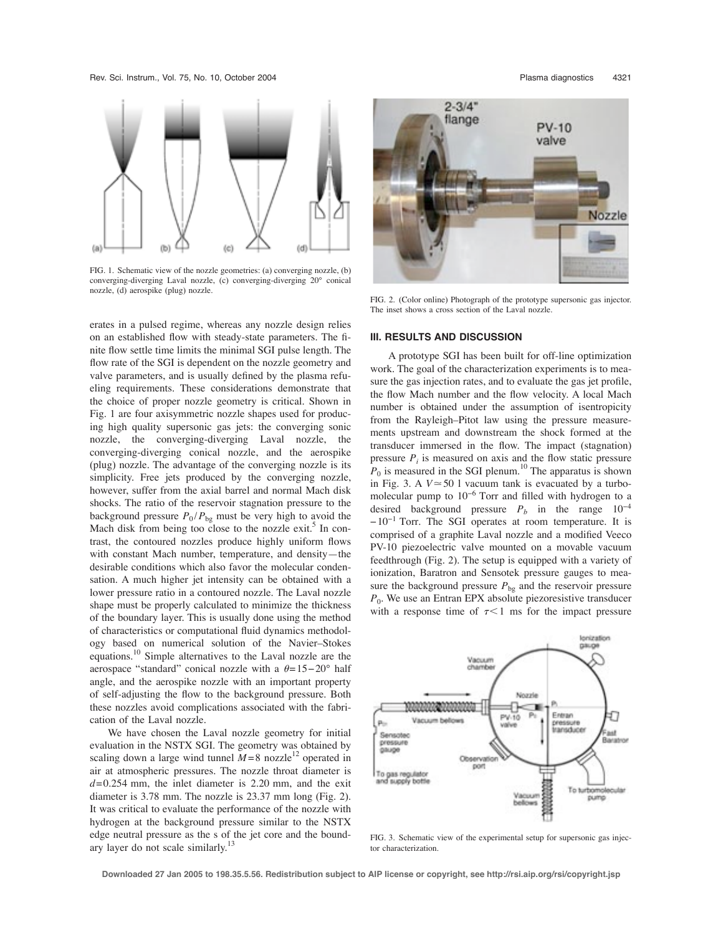Rev. Sci. Instrum., Vol. 75, No. 10, October 2004 Plasma diagnostics 4321



FIG. 1. Schematic view of the nozzle geometries: (a) converging nozzle, (b) converging-diverging Laval nozzle, (c) converging-diverging 20° conical nozzle, (d) aerospike (plug) nozzle.

erates in a pulsed regime, whereas any nozzle design relies on an established flow with steady-state parameters. The finite flow settle time limits the minimal SGI pulse length. The flow rate of the SGI is dependent on the nozzle geometry and valve parameters, and is usually defined by the plasma refueling requirements. These considerations demonstrate that the choice of proper nozzle geometry is critical. Shown in Fig. 1 are four axisymmetric nozzle shapes used for producing high quality supersonic gas jets: the converging sonic nozzle, the converging-diverging Laval nozzle, the converging-diverging conical nozzle, and the aerospike (plug) nozzle. The advantage of the converging nozzle is its simplicity. Free jets produced by the converging nozzle, however, suffer from the axial barrel and normal Mach disk shocks. The ratio of the reservoir stagnation pressure to the background pressure  $P_0 / P_{bg}$  must be very high to avoid the Mach disk from being too close to the nozzle exit.<sup>5</sup> In contrast, the contoured nozzles produce highly uniform flows with constant Mach number, temperature, and density—the desirable conditions which also favor the molecular condensation. A much higher jet intensity can be obtained with a lower pressure ratio in a contoured nozzle. The Laval nozzle shape must be properly calculated to minimize the thickness of the boundary layer. This is usually done using the method of characteristics or computational fluid dynamics methodology based on numerical solution of the Navier–Stokes equations.<sup>10</sup> Simple alternatives to the Laval nozzle are the aerospace "standard" conical nozzle with a  $\theta = 15-20^{\circ}$  half angle, and the aerospike nozzle with an important property of self-adjusting the flow to the background pressure. Both these nozzles avoid complications associated with the fabrication of the Laval nozzle.

We have chosen the Laval nozzle geometry for initial evaluation in the NSTX SGI. The geometry was obtained by scaling down a large wind tunnel  $M=8$  nozzle<sup>12</sup> operated in air at atmospheric pressures. The nozzle throat diameter is  $d=0.254$  mm, the inlet diameter is 2.20 mm, and the exit diameter is 3.78 mm. The nozzle is 23.37 mm long (Fig. 2). It was critical to evaluate the performance of the nozzle with hydrogen at the background pressure similar to the NSTX edge neutral pressure as the s of the jet core and the boundary layer do not scale similarly.<sup>13</sup>



FIG. 2. (Color online) Photograph of the prototype supersonic gas injector. The inset shows a cross section of the Laval nozzle.

## **III. RESULTS AND DISCUSSION**

A prototype SGI has been built for off-line optimization work. The goal of the characterization experiments is to measure the gas injection rates, and to evaluate the gas jet profile, the flow Mach number and the flow velocity. A local Mach number is obtained under the assumption of isentropicity from the Rayleigh–Pitot law using the pressure measurements upstream and downstream the shock formed at the transducer immersed in the flow. The impact (stagnation) pressure  $P_i$  is measured on axis and the flow static pressure  $P_0$  is measured in the SGI plenum.<sup>10</sup> The apparatus is shown in Fig. 3. A  $V \approx 50$  l vacuum tank is evacuated by a turbomolecular pump to 10−<sup>6</sup> Torr and filled with hydrogen to a desired background pressure  $P_b$  in the range  $10^{-4}$  $-10^{-1}$  Torr. The SGI operates at room temperature. It is comprised of a graphite Laval nozzle and a modified Veeco PV-10 piezoelectric valve mounted on a movable vacuum feedthrough (Fig. 2). The setup is equipped with a variety of ionization, Baratron and Sensotek pressure gauges to measure the background pressure  $P_{bg}$  and the reservoir pressure  $P_0$ . We use an Entran EPX absolute piezoresistive transducer with a response time of  $\tau < 1$  ms for the impact pressure



FIG. 3. Schematic view of the experimental setup for supersonic gas injector characterization.

**Downloaded 27 Jan 2005 to 198.35.5.56. Redistribution subject to AIP license or copyright, see http://rsi.aip.org/rsi/copyright.jsp**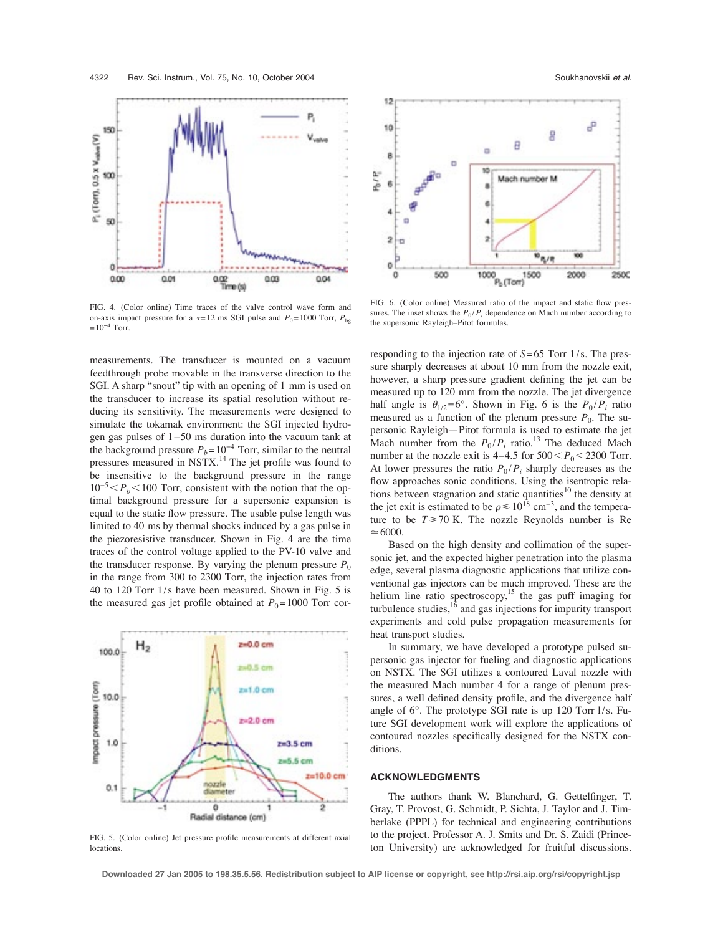150

100

50

o

 $000$ 

0.01

P<sub>1</sub> (Torr), 0.5 x V<sub>rabra</sub> (V)

FIG. 4. (Color online) Time traces of the valve control wave form and on-axis impact pressure for a  $\tau = 12$  ms SGI pulse and  $P_0 = 1000$  Torr,  $P_{\text{bg}}$  $= 10^{-4}$  Torr.

0.02<br>Time (s)

 $003$ 

0.04

measurements. The transducer is mounted on a vacuum feedthrough probe movable in the transverse direction to the SGI. A sharp "snout" tip with an opening of 1 mm is used on the transducer to increase its spatial resolution without reducing its sensitivity. The measurements were designed to simulate the tokamak environment: the SGI injected hydrogen gas pulses of  $1-50$  ms duration into the vacuum tank at the background pressure  $P_b= 10^{-4}$  Torr, similar to the neutral pressures measured in NSTX.<sup>14</sup> The jet profile was found to be insensitive to the background pressure in the range  $10^{-5}$   $\lt P_b$   $\lt 100$  Torr, consistent with the notion that the optimal background pressure for a supersonic expansion is equal to the static flow pressure. The usable pulse length was limited to 40 ms by thermal shocks induced by a gas pulse in the piezoresistive transducer. Shown in Fig. 4 are the time traces of the control voltage applied to the PV-10 valve and the transducer response. By varying the plenum pressure  $P_0$ in the range from 300 to 2300 Torr, the injection rates from 40 to 120 Torr 1/s have been measured. Shown in Fig. 5 is the measured gas jet profile obtained at  $P_0$ =1000 Torr cor-



FIG. 5. (Color online) Jet pressure profile measurements at different axial locations.



FIG. 6. (Color online) Measured ratio of the impact and static flow pressures. The inset shows the  $P_0/P_i$  dependence on Mach number according to the supersonic Rayleigh–Pitot formulas.

responding to the injection rate of *S*=65 Torr 1/s. The pressure sharply decreases at about 10 mm from the nozzle exit, however, a sharp pressure gradient defining the jet can be measured up to 120 mm from the nozzle. The jet divergence half angle is  $\theta_{1/2}=6^\circ$ . Shown in Fig. 6 is the  $P_0/P_i$  ratio measured as a function of the plenum pressure  $P_0$ . The supersonic Rayleigh—Pitot formula is used to estimate the jet Mach number from the  $P_0/P_i$  ratio.<sup>13</sup> The deduced Mach number at the nozzle exit is  $4-4.5$  for  $500 < P_0 < 2300$  Torr. At lower pressures the ratio  $P_0 / P_i$  sharply decreases as the flow approaches sonic conditions. Using the isentropic relations between stagnation and static quantities<sup>10</sup> the density at the jet exit is estimated to be  $\rho \le 10^{18}$  cm<sup>-3</sup>, and the temperature to be  $T \ge 70$  K. The nozzle Reynolds number is Re  $\simeq 6000.$ 

Based on the high density and collimation of the supersonic jet, and the expected higher penetration into the plasma edge, several plasma diagnostic applications that utilize conventional gas injectors can be much improved. These are the helium line ratio spectroscopy,<sup>15</sup> the gas puff imaging for turbulence studies, $16$  and gas injections for impurity transport experiments and cold pulse propagation measurements for heat transport studies.

In summary, we have developed a prototype pulsed supersonic gas injector for fueling and diagnostic applications on NSTX. The SGI utilizes a contoured Laval nozzle with the measured Mach number 4 for a range of plenum pressures, a well defined density profile, and the divergence half angle of 6°. The prototype SGI rate is up 120 Torr l/s. Future SGI development work will explore the applications of contoured nozzles specifically designed for the NSTX conditions.

#### **ACKNOWLEDGMENTS**

The authors thank W. Blanchard, G. Gettelfinger, T. Gray, T. Provost, G. Schmidt, P. Sichta, J. Taylor and J. Timberlake (PPPL) for technical and engineering contributions to the project. Professor A. J. Smits and Dr. S. Zaidi (Princeton University) are acknowledged for fruitful discussions.

**Downloaded 27 Jan 2005 to 198.35.5.56. Redistribution subject to AIP license or copyright, see http://rsi.aip.org/rsi/copyright.jsp**